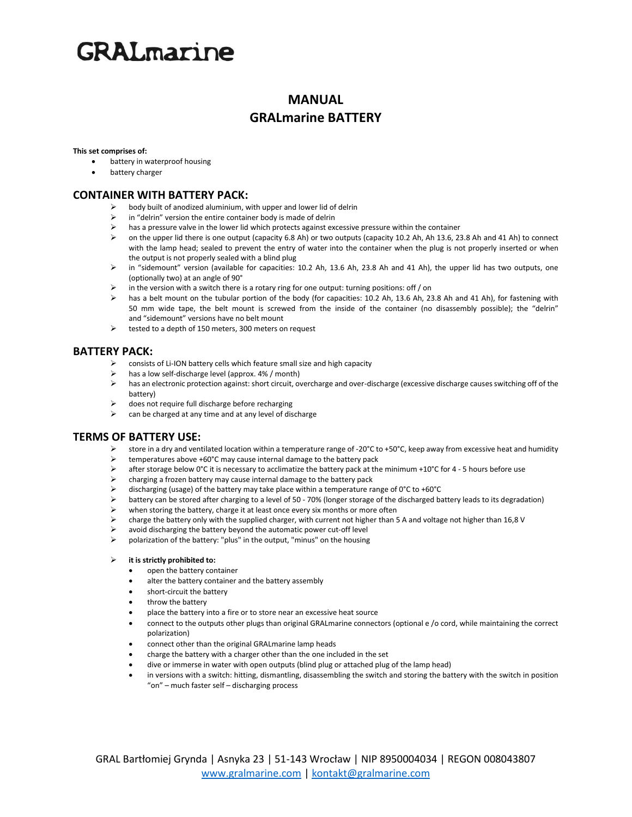# **GRAL**marine

## **MANUAL GRALmarine BATTERY**

#### **This set comprises of:**

- battery in waterproof housing
- battery charger

### **CONTAINER WITH BATTERY PACK:**

- ➢ body built of anodized aluminium, with upper and lower lid of delrin
- in "delrin" version the entire container body is made of delrin
- $\triangleright$  has a pressure valve in the lower lid which protects against excessive pressure within the container
- ➢ on the upper lid there is one output (capacity 6.8 Ah) or two outputs (capacity 10.2 Ah, Ah 13.6, 23.8 Ah and 41 Ah) to connect with the lamp head; sealed to prevent the entry of water into the container when the plug is not properly inserted or when the output is not properly sealed with a blind plug
- ➢ in "sidemount" version (available for capacities: 10.2 Ah, 13.6 Ah, 23.8 Ah and 41 Ah), the upper lid has two outputs, one (optionally two) at an angle of 90°
- ➢ in the version with a switch there is a rotary ring for one output: turning positions: off / on
- ➢ has a belt mount on the tubular portion of the body (for capacities: 10.2 Ah, 13.6 Ah, 23.8 Ah and 41 Ah), for fastening with 50 mm wide tape, the belt mount is screwed from the inside of the container (no disassembly possible); the "delrin" and "sidemount" versions have no belt mount
- ➢ tested to a depth of 150 meters, 300 meters on request

### **BATTERY PACK:**

- $\triangleright$  consists of Li-ION battery cells which feature small size and high capacity
- has a low self-discharge level (approx. 4% / month)
- ➢ has an electronic protection against: short circuit, overcharge and over-discharge (excessive discharge causes switching off of the battery)
- ➢ does not require full discharge before recharging
- $\triangleright$  can be charged at any time and at any level of discharge

### **TERMS OF BATTERY USE:**

- $\triangleright$  store in a dry and ventilated location within a temperature range of -20°C to +50°C, keep away from excessive heat and humidity
- Example temperatures above +60°C may cause internal damage to the battery pack<br>A after storage below 0°C it is necessary to acclimatize the battery pack at the
- after storage below 0°C it is necessary to acclimatize the battery pack at the minimum +10°C for 4 5 hours before use
- $\triangleright$  charging a frozen battery may cause internal damage to the battery pack
- $\ge$  discharging (usage) of the battery may take place within a temperature range of 0°C to +60°C<br>bettery can be stored after charging to a level of 50 70% (longer storage of the discharged by
- ➢ battery can be stored after charging to a level of 50 70% (longer storage of the discharged battery leads to its degradation)
- when storing the battery, charge it at least once every six months or more often
- $\triangleright$  charge the battery only with the supplied charger, with current not higher than 5 A and voltage not higher than 16,8 V<br> $\triangleright$  avoid discharging the battery hevond the automatic power cut-off level
- ➢ avoid discharging the battery beyond the automatic power cut-off level
- ➢ polarization of the battery: "plus" in the output, "minus" on the housing

### ➢ **it is strictly prohibited to:**

- open the battery container
- alter the battery container and the battery assembly
- short-circuit the battery
- throw the battery
- place the battery into a fire or to store near an excessive heat source
- connect to the outputs other plugs than original GRALmarine connectors (optional e /o cord, while maintaining the correct polarization)
- connect other than the original GRALmarine lamp heads
- charge the battery with a charger other than the one included in the set
- dive or immerse in water with open outputs (blind plug or attached plug of the lamp head)
- in versions with a switch: hitting, dismantling, disassembling the switch and storing the battery with the switch in position "on" – much faster self – discharging process